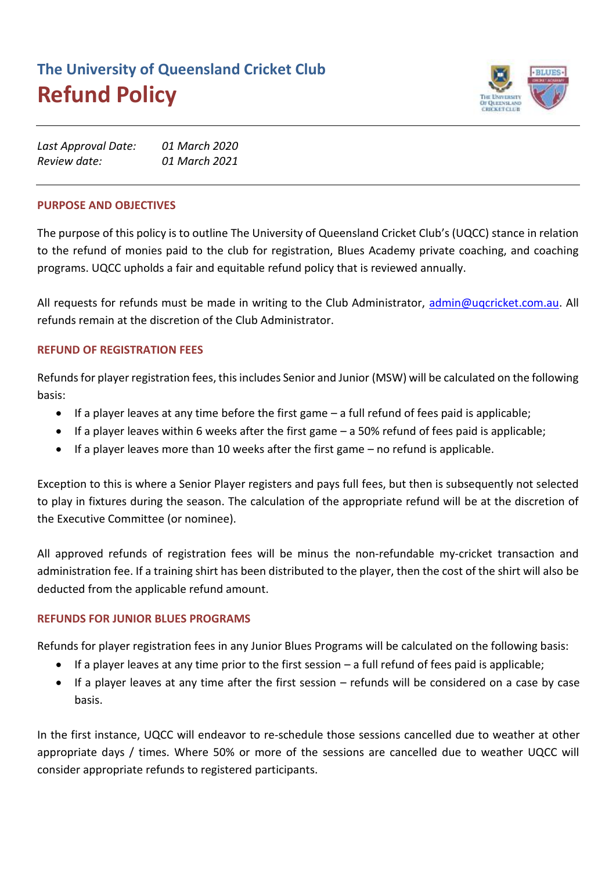# **The University of Queensland Cricket Club Refund Policy**



| Last Approval Date: | 01 March 2020 |
|---------------------|---------------|
| Review date:        | 01 March 2021 |

#### **PURPOSE AND OBJECTIVES**

The purpose of this policy is to outline The University of Queensland Cricket Club's (UQCC) stance in relation to the refund of monies paid to the club for registration, Blues Academy private coaching, and coaching programs. UQCC upholds a fair and equitable refund policy that is reviewed annually.

All requests for refunds must be made in writing to the Club Administrator, [admin@uqcricket.com.au.](mailto:admin@uqcricket.com.au) All refunds remain at the discretion of the Club Administrator.

## **REFUND OF REGISTRATION FEES**

Refunds for player registration fees, this includes Senior and Junior (MSW) will be calculated on the following basis:

- If a player leaves at any time before the first game a full refund of fees paid is applicable;
- If a player leaves within 6 weeks after the first game a 50% refund of fees paid is applicable;
- If a player leaves more than 10 weeks after the first game no refund is applicable.

Exception to this is where a Senior Player registers and pays full fees, but then is subsequently not selected to play in fixtures during the season. The calculation of the appropriate refund will be at the discretion of the Executive Committee (or nominee).

All approved refunds of registration fees will be minus the non-refundable my-cricket transaction and administration fee. If a training shirt has been distributed to the player, then the cost of the shirt will also be deducted from the applicable refund amount.

## **REFUNDS FOR JUNIOR BLUES PROGRAMS**

Refunds for player registration fees in any Junior Blues Programs will be calculated on the following basis:

- If a player leaves at any time prior to the first session a full refund of fees paid is applicable;
- If a player leaves at any time after the first session refunds will be considered on a case by case basis.

In the first instance, UQCC will endeavor to re-schedule those sessions cancelled due to weather at other appropriate days / times. Where 50% or more of the sessions are cancelled due to weather UQCC will consider appropriate refunds to registered participants.